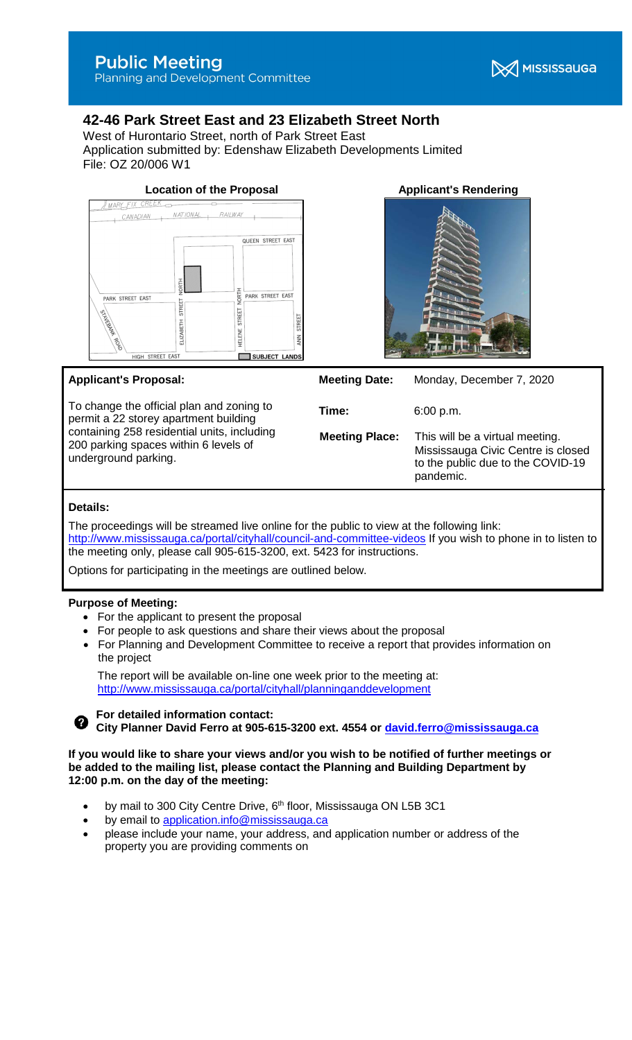**X** MISSISSAUGA

Planning and Development Committee

# **42-46 Park Street East and 23 Elizabeth Street North**

West of Hurontario Street, north of Park Street East Application submitted by: Edenshaw Elizabeth Developments Limited File: OZ 20/006 W1



# **Applicant's Proposal:**

To change the official plan and zoning to permit a 22 storey apartment building containing 258 residential units, including 200 parking spaces within 6 levels of underground parking.



| <b>Meeting Date:</b>  | Monday, December 7, 2020                                                                                                |
|-----------------------|-------------------------------------------------------------------------------------------------------------------------|
| Time:                 | 6:00 p.m.                                                                                                               |
| <b>Meeting Place:</b> | This will be a virtual meeting.<br>Mississauga Civic Centre is closed<br>to the public due to the COVID-19<br>pandemic. |
|                       |                                                                                                                         |

# **Details:**

The proceedings will be streamed live online for the public to view at the following link: <http://www.mississauga.ca/portal/cityhall/council-and-committee-videos> If you wish to phone in to listen to the meeting only, please call 905-615-3200, ext. 5423 for instructions.

Options for participating in the meetings are outlined below.

# **Purpose of Meeting:**

- For the applicant to present the proposal
- For people to ask questions and share their views about the proposal
- For Planning and Development Committee to receive a report that provides information on the project

The report will be available on-line one week prior to the meeting at: <http://www.mississauga.ca/portal/cityhall/planninganddevelopment>



**For detailed information contact:**

**City Planner David Ferro at 905-615-3200 ext. 4554 or david.ferro@mississauga.ca**

**If you would like to share your views and/or you wish to be notified of further meetings or be added to the mailing list, please contact the Planning and Building Department by 12:00 p.m. on the day of the meeting:**

- by mail to 300 City Centre Drive, 6<sup>th</sup> floor, Mississauga ON L5B 3C1
- by email to [application.info@mississauga.ca](http://teamsites.mississauga.ca/sites/18/Glossaries%20and%20Templates/application.info@mississauga.ca)
- please include your name, your address, and application number or address of the property you are providing comments on